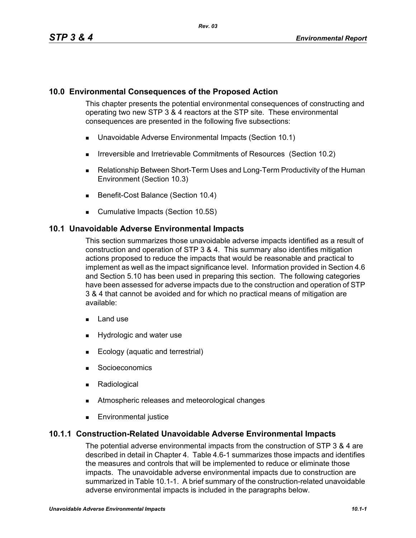## **10.0 Environmental Consequences of the Proposed Action**

This chapter presents the potential environmental consequences of constructing and operating two new STP 3 & 4 reactors at the STP site. These environmental consequences are presented in the following five subsections:

- **Unavoidable Adverse Environmental Impacts (Section 10.1)**
- **IFFELD** Irreversible and Irretrievable Commitments of Resources (Section 10.2)
- Relationship Between Short-Term Uses and Long-Term Productivity of the Human Environment (Section 10.3)
- Benefit-Cost Balance (Section 10.4)
- **Cumulative Impacts (Section 10.5S)**

## **10.1 Unavoidable Adverse Environmental Impacts**

This section summarizes those unavoidable adverse impacts identified as a result of construction and operation of STP 3 & 4. This summary also identifies mitigation actions proposed to reduce the impacts that would be reasonable and practical to implement as well as the impact significance level. Information provided in Section 4.6 and Section 5.10 has been used in preparing this section. The following categories have been assessed for adverse impacts due to the construction and operation of STP 3 & 4 that cannot be avoided and for which no practical means of mitigation are available:

- **Land use**
- **Hydrologic and water use**
- Ecology (aquatic and terrestrial)
- **Socioeconomics**
- **Radiological**
- Atmospheric releases and meteorological changes
- **Environmental justice**

# **10.1.1 Construction-Related Unavoidable Adverse Environmental Impacts**

The potential adverse environmental impacts from the construction of STP 3 & 4 are described in detail in Chapter 4. Table 4.6-1 summarizes those impacts and identifies the measures and controls that will be implemented to reduce or eliminate those impacts. The unavoidable adverse environmental impacts due to construction are summarized in Table 10.1-1. A brief summary of the construction-related unavoidable adverse environmental impacts is included in the paragraphs below.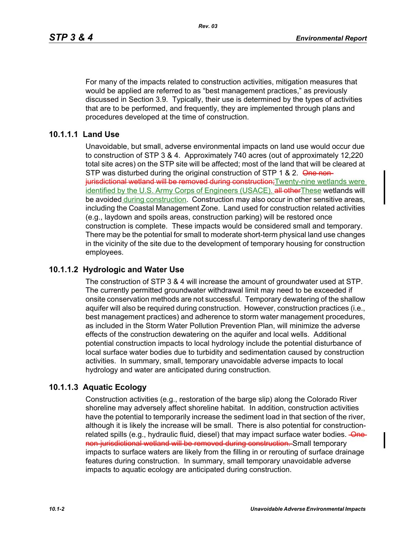For many of the impacts related to construction activities, mitigation measures that would be applied are referred to as "best management practices," as previously discussed in Section 3.9. Typically, their use is determined by the types of activities that are to be performed, and frequently, they are implemented through plans and procedures developed at the time of construction.

## **10.1.1.1 Land Use**

Unavoidable, but small, adverse environmental impacts on land use would occur due to construction of STP 3 & 4. Approximately 740 acres (out of approximately 12,220 total site acres) on the STP site will be affected; most of the land that will be cleared at STP was disturbed during the original construction of STP 1 & 2. One nonjurisdictional wetland will be removed during construction; Twenty-nine wetlands were identified by the U.S. Army Corps of Engineers (USACE). all other These wetlands will be avoided during construction. Construction may also occur in other sensitive areas, including the Coastal Management Zone. Land used for construction related activities (e.g., laydown and spoils areas, construction parking) will be restored once construction is complete. These impacts would be considered small and temporary. There may be the potential for small to moderate short-term physical land use changes in the vicinity of the site due to the development of temporary housing for construction employees.

### **10.1.1.2 Hydrologic and Water Use**

The construction of STP 3 & 4 will increase the amount of groundwater used at STP. The currently permitted groundwater withdrawal limit may need to be exceeded if onsite conservation methods are not successful. Temporary dewatering of the shallow aquifer will also be required during construction. However, construction practices (i.e., best management practices) and adherence to storm water management procedures, as included in the Storm Water Pollution Prevention Plan, will minimize the adverse effects of the construction dewatering on the aquifer and local wells. Additional potential construction impacts to local hydrology include the potential disturbance of local surface water bodies due to turbidity and sedimentation caused by construction activities. In summary, small, temporary unavoidable adverse impacts to local hydrology and water are anticipated during construction.

### **10.1.1.3 Aquatic Ecology**

Construction activities (e.g., restoration of the barge slip) along the Colorado River shoreline may adversely affect shoreline habitat. In addition, construction activities have the potential to temporarily increase the sediment load in that section of the river, although it is likely the increase will be small. There is also potential for constructionrelated spills (e.g., hydraulic fluid, diesel) that may impact surface water bodies. Onenon-jurisdictional wetland will be removed during construction. Small temporary impacts to surface waters are likely from the filling in or rerouting of surface drainage features during construction. In summary, small temporary unavoidable adverse impacts to aquatic ecology are anticipated during construction.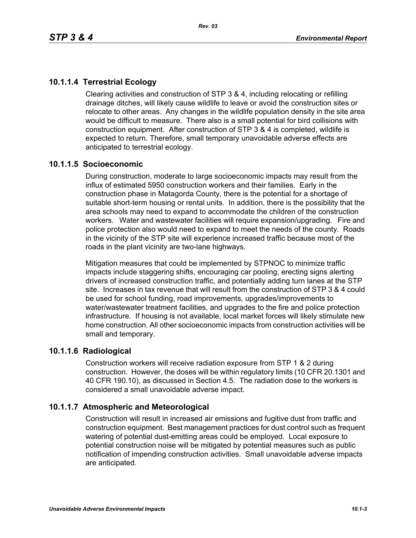# **10.1.1.4 Terrestrial Ecology**

Clearing activities and construction of STP 3 & 4, including relocating or refilling drainage ditches, will likely cause wildlife to leave or avoid the construction sites or relocate to other areas. Any changes in the wildlife population density in the site area would be difficult to measure. There also is a small potential for bird collisions with construction equipment. After construction of STP 3 & 4 is completed, wildlife is expected to return. Therefore, small temporary unavoidable adverse effects are anticipated to terrestrial ecology.

## **10.1.1.5 Socioeconomic**

During construction, moderate to large socioeconomic impacts may result from the influx of estimated 5950 construction workers and their families. Early in the construction phase in Matagorda County, there is the potential for a shortage of suitable short-term housing or rental units. In addition, there is the possibility that the area schools may need to expand to accommodate the children of the construction workers. Water and wastewater facilities will require expansion/upgrading. Fire and police protection also would need to expand to meet the needs of the county. Roads in the vicinity of the STP site will experience increased traffic because most of the roads in the plant vicinity are two-lane highways.

Mitigation measures that could be implemented by STPNOC to minimize traffic impacts include staggering shifts, encouraging car pooling, erecting signs alerting drivers of increased construction traffic, and potentially adding turn lanes at the STP site. Increases in tax revenue that will result from the construction of STP 3 & 4 could be used for school funding, road improvements, upgrades/improvements to water/wastewater treatment facilities, and upgrades to the fire and police protection infrastructure. If housing is not available, local market forces will likely stimulate new home construction. All other socioeconomic impacts from construction activities will be small and temporary.

### **10.1.1.6 Radiological**

Construction workers will receive radiation exposure from STP 1 & 2 during construction. However, the doses will be within regulatory limits (10 CFR 20.1301 and 40 CFR 190.10), as discussed in Section 4.5. The radiation dose to the workers is considered a small unavoidable adverse impact.

# **10.1.1.7 Atmospheric and Meteorological**

Construction will result in increased air emissions and fugitive dust from traffic and construction equipment. Best management practices for dust control such as frequent watering of potential dust-emitting areas could be employed. Local exposure to potential construction noise will be mitigated by potential measures such as public notification of impending construction activities. Small unavoidable adverse impacts are anticipated.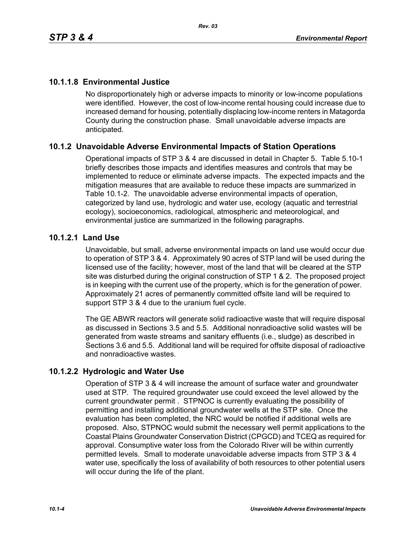# **10.1.1.8 Environmental Justice**

No disproportionately high or adverse impacts to minority or low-income populations were identified. However, the cost of low-income rental housing could increase due to increased demand for housing, potentially displacing low-income renters in Matagorda County during the construction phase. Small unavoidable adverse impacts are anticipated.

# **10.1.2 Unavoidable Adverse Environmental Impacts of Station Operations**

Operational impacts of STP 3 & 4 are discussed in detail in Chapter 5. Table 5.10-1 briefly describes those impacts and identifies measures and controls that may be implemented to reduce or eliminate adverse impacts. The expected impacts and the mitigation measures that are available to reduce these impacts are summarized in Table 10.1-2. The unavoidable adverse environmental impacts of operation, categorized by land use, hydrologic and water use, ecology (aquatic and terrestrial ecology), socioeconomics, radiological, atmospheric and meteorological, and environmental justice are summarized in the following paragraphs.

## **10.1.2.1 Land Use**

Unavoidable, but small, adverse environmental impacts on land use would occur due to operation of STP 3 & 4. Approximately 90 acres of STP land will be used during the licensed use of the facility; however, most of the land that will be cleared at the STP site was disturbed during the original construction of STP 1 & 2. The proposed project is in keeping with the current use of the property, which is for the generation of power. Approximately 21 acres of permanently committed offsite land will be required to support STP 3 & 4 due to the uranium fuel cycle.

The GE ABWR reactors will generate solid radioactive waste that will require disposal as discussed in Sections 3.5 and 5.5. Additional nonradioactive solid wastes will be generated from waste streams and sanitary effluents (i.e., sludge) as described in Sections 3.6 and 5.5. Additional land will be required for offsite disposal of radioactive and nonradioactive wastes.

# **10.1.2.2 Hydrologic and Water Use**

Operation of STP 3 & 4 will increase the amount of surface water and groundwater used at STP. The required groundwater use could exceed the level allowed by the current groundwater permit . STPNOC is currently evaluating the possibility of permitting and installing additional groundwater wells at the STP site. Once the evaluation has been completed, the NRC would be notified if additional wells are proposed. Also, STPNOC would submit the necessary well permit applications to the Coastal Plains Groundwater Conservation District (CPGCD) and TCEQ as required for approval. Consumptive water loss from the Colorado River will be within currently permitted levels. Small to moderate unavoidable adverse impacts from STP 3 & 4 water use, specifically the loss of availability of both resources to other potential users will occur during the life of the plant.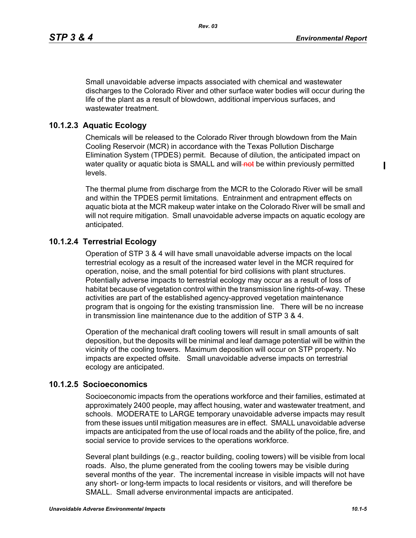$\blacksquare$ 

Small unavoidable adverse impacts associated with chemical and wastewater discharges to the Colorado River and other surface water bodies will occur during the life of the plant as a result of blowdown, additional impervious surfaces, and wastewater treatment.

## **10.1.2.3 Aquatic Ecology**

Chemicals will be released to the Colorado River through blowdown from the Main Cooling Reservoir (MCR) in accordance with the Texas Pollution Discharge Elimination System (TPDES) permit. Because of dilution, the anticipated impact on water quality or aquatic biota is SMALL and will-not be within previously permitted levels.

The thermal plume from discharge from the MCR to the Colorado River will be small and within the TPDES permit limitations. Entrainment and entrapment effects on aquatic biota at the MCR makeup water intake on the Colorado River will be small and will not require mitigation. Small unavoidable adverse impacts on aquatic ecology are anticipated.

## **10.1.2.4 Terrestrial Ecology**

Operation of STP 3 & 4 will have small unavoidable adverse impacts on the local terrestrial ecology as a result of the increased water level in the MCR required for operation, noise, and the small potential for bird collisions with plant structures. Potentially adverse impacts to terrestrial ecology may occur as a result of loss of habitat because of vegetation control within the transmission line rights-of-way. These activities are part of the established agency-approved vegetation maintenance program that is ongoing for the existing transmission line. There will be no increase in transmission line maintenance due to the addition of STP 3 & 4.

Operation of the mechanical draft cooling towers will result in small amounts of salt deposition, but the deposits will be minimal and leaf damage potential will be within the vicinity of the cooling towers. Maximum deposition will occur on STP property. No impacts are expected offsite. Small unavoidable adverse impacts on terrestrial ecology are anticipated.

### **10.1.2.5 Socioeconomics**

Socioeconomic impacts from the operations workforce and their families, estimated at approximately 2400 people, may affect housing, water and wastewater treatment, and schools. MODERATE to LARGE temporary unavoidable adverse impacts may result from these issues until mitigation measures are in effect. SMALL unavoidable adverse impacts are anticipated from the use of local roads and the ability of the police, fire, and social service to provide services to the operations workforce.

Several plant buildings (e.g., reactor building, cooling towers) will be visible from local roads. Also, the plume generated from the cooling towers may be visible during several months of the year. The incremental increase in visible impacts will not have any short- or long-term impacts to local residents or visitors, and will therefore be SMALL. Small adverse environmental impacts are anticipated.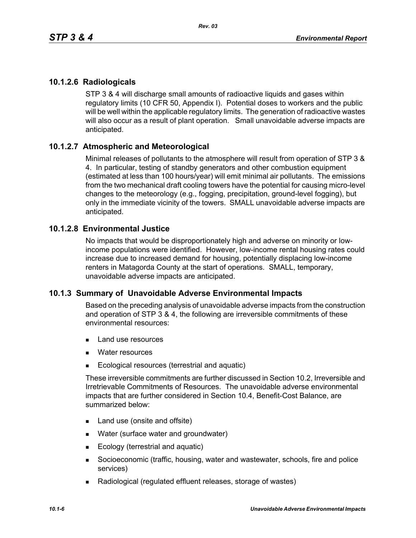# **10.1.2.6 Radiologicals**

STP 3 & 4 will discharge small amounts of radioactive liquids and gases within regulatory limits (10 CFR 50, Appendix I). Potential doses to workers and the public will be well within the applicable regulatory limits. The generation of radioactive wastes will also occur as a result of plant operation. Small unavoidable adverse impacts are anticipated.

# **10.1.2.7 Atmospheric and Meteorological**

Minimal releases of pollutants to the atmosphere will result from operation of STP 3 & 4. In particular, testing of standby generators and other combustion equipment (estimated at less than 100 hours/year) will emit minimal air pollutants. The emissions from the two mechanical draft cooling towers have the potential for causing micro-level changes to the meteorology (e.g., fogging, precipitation, ground-level fogging), but only in the immediate vicinity of the towers. SMALL unavoidable adverse impacts are anticipated.

## **10.1.2.8 Environmental Justice**

No impacts that would be disproportionately high and adverse on minority or lowincome populations were identified. However, low-income rental housing rates could increase due to increased demand for housing, potentially displacing low-income renters in Matagorda County at the start of operations. SMALL, temporary, unavoidable adverse impacts are anticipated.

# **10.1.3 Summary of Unavoidable Adverse Environmental Impacts**

Based on the preceding analysis of unavoidable adverse impacts from the construction and operation of STP 3 & 4, the following are irreversible commitments of these environmental resources:

- **Land use resources**
- **Nater resources**
- Ecological resources (terrestrial and aquatic)

These irreversible commitments are further discussed in Section 10.2, Irreversible and Irretrievable Commitments of Resources. The unavoidable adverse environmental impacts that are further considered in Section 10.4, Benefit-Cost Balance, are summarized below:

- Land use (onsite and offsite)
- **Nater (surface water and groundwater)**
- Ecology (terrestrial and aquatic)
- Socioeconomic (traffic, housing, water and wastewater, schools, fire and police services)
- Radiological (regulated effluent releases, storage of wastes)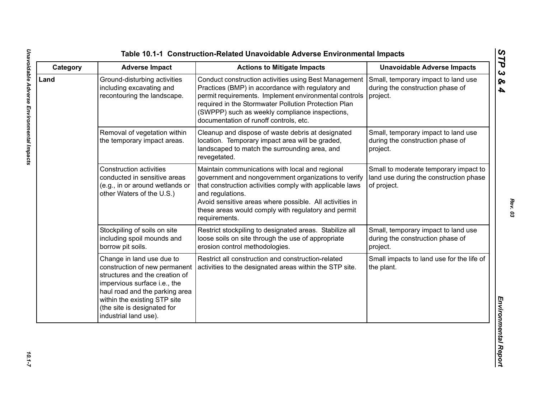| Category | <b>Adverse Impact</b>                                                                                                                                                                                                                                  | <b>Actions to Mitigate Impacts</b>                                                                                                                                                                                                                                                                                         | <b>Unavoidable Adverse Impacts</b>                                                             |
|----------|--------------------------------------------------------------------------------------------------------------------------------------------------------------------------------------------------------------------------------------------------------|----------------------------------------------------------------------------------------------------------------------------------------------------------------------------------------------------------------------------------------------------------------------------------------------------------------------------|------------------------------------------------------------------------------------------------|
| Land     | Ground-disturbing activities<br>including excavating and<br>recontouring the landscape.                                                                                                                                                                | Conduct construction activities using Best Management<br>Practices (BMP) in accordance with regulatory and<br>permit requirements. Implement environmental controls<br>required in the Stormwater Pollution Protection Plan<br>(SWPPP) such as weekly compliance inspections,<br>documentation of runoff controls, etc.    | Small, temporary impact to land use<br>during the construction phase of<br>project.            |
|          | Removal of vegetation within<br>the temporary impact areas.                                                                                                                                                                                            | Cleanup and dispose of waste debris at designated<br>location. Temporary impact area will be graded,<br>landscaped to match the surrounding area, and<br>revegetated.                                                                                                                                                      | Small, temporary impact to land use<br>during the construction phase of<br>project.            |
|          | <b>Construction activities</b><br>conducted in sensitive areas<br>(e.g., in or around wetlands or<br>other Waters of the U.S.)                                                                                                                         | Maintain communications with local and regional<br>government and nongovernment organizations to verify<br>that construction activities comply with applicable laws<br>and regulations.<br>Avoid sensitive areas where possible. All activities in<br>these areas would comply with regulatory and permit<br>requirements. | Small to moderate temporary impact to<br>land use during the construction phase<br>of project. |
|          | Stockpiling of soils on site<br>including spoil mounds and<br>borrow pit soils.                                                                                                                                                                        | Restrict stockpiling to designated areas. Stabilize all<br>loose soils on site through the use of appropriate<br>erosion control methodologies.                                                                                                                                                                            | Small, temporary impact to land use<br>during the construction phase of<br>project.            |
|          | Change in land use due to<br>construction of new permanent<br>structures and the creation of<br>impervious surface i.e., the<br>haul road and the parking area<br>within the existing STP site<br>(the site is designated for<br>industrial land use). | Restrict all construction and construction-related<br>activities to the designated areas within the STP site.                                                                                                                                                                                                              | Small impacts to land use for the life of<br>the plant.                                        |

*Rev. 03*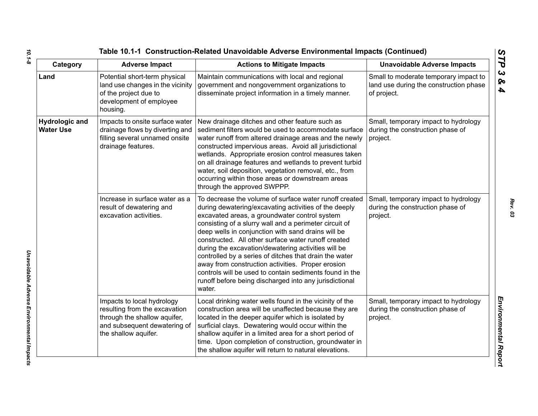| Category                                  | <b>Adverse Impact</b>                                                                                                                               | <b>Actions to Mitigate Impacts</b>                                                                                                                                                                                                                                                                                                                                                                                                                                                                                                                                                                                                           | <b>Unavoidable Adverse Impacts</b>                                                             |
|-------------------------------------------|-----------------------------------------------------------------------------------------------------------------------------------------------------|----------------------------------------------------------------------------------------------------------------------------------------------------------------------------------------------------------------------------------------------------------------------------------------------------------------------------------------------------------------------------------------------------------------------------------------------------------------------------------------------------------------------------------------------------------------------------------------------------------------------------------------------|------------------------------------------------------------------------------------------------|
| Land                                      | Potential short-term physical<br>land use changes in the vicinity<br>of the project due to<br>development of employee<br>housing.                   | Maintain communications with local and regional<br>government and nongovernment organizations to<br>disseminate project information in a timely manner.                                                                                                                                                                                                                                                                                                                                                                                                                                                                                      | Small to moderate temporary impact to<br>land use during the construction phase<br>of project. |
| <b>Hydrologic and</b><br><b>Water Use</b> | Impacts to onsite surface water<br>drainage flows by diverting and<br>filling several unnamed onsite<br>drainage features.                          | New drainage ditches and other feature such as<br>sediment filters would be used to accommodate surface<br>water runoff from altered drainage areas and the newly<br>constructed impervious areas. Avoid all jurisdictional<br>wetlands. Appropriate erosion control measures taken<br>on all drainage features and wetlands to prevent turbid<br>water, soil deposition, vegetation removal, etc., from<br>occurring within those areas or downstream areas<br>through the approved SWPPP.                                                                                                                                                  | Small, temporary impact to hydrology<br>during the construction phase of<br>project.           |
|                                           | Increase in surface water as a<br>result of dewatering and<br>excavation activities.                                                                | To decrease the volume of surface water runoff created<br>during dewatering/excavating activities of the deeply<br>excavated areas, a groundwater control system<br>consisting of a slurry wall and a perimeter circuit of<br>deep wells in conjunction with sand drains will be<br>constructed. All other surface water runoff created<br>during the excavation/dewatering activities will be<br>controlled by a series of ditches that drain the water<br>away from construction activities. Proper erosion<br>controls will be used to contain sediments found in the<br>runoff before being discharged into any jurisdictional<br>water. | Small, temporary impact to hydrology<br>during the construction phase of<br>project.           |
|                                           | Impacts to local hydrology<br>resulting from the excavation<br>through the shallow aquifer,<br>and subsequent dewatering of<br>the shallow aquifer. | Local drinking water wells found in the vicinity of the<br>construction area will be unaffected because they are<br>located in the deeper aquifer which is isolated by<br>surficial clays. Dewatering would occur within the<br>shallow aquifer in a limited area for a short period of<br>time. Upon completion of construction, groundwater in<br>the shallow aquifer will return to natural elevations.                                                                                                                                                                                                                                   | Small, temporary impact to hydrology<br>during the construction phase of<br>project.           |

*Unavoidable Adverse Environmental Impacts* 

Unavoidable Adverse Environmental Impacts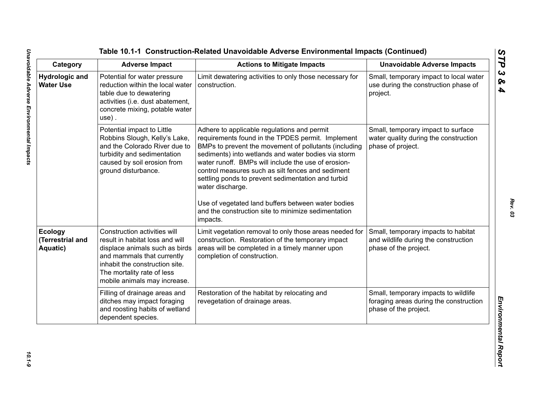| Category                                       | <b>Adverse Impact</b>                                                                                                                                                                                                           | <b>Actions to Mitigate Impacts</b>                                                                                                                                                                                                                                                                                                                                                                                                                                                                                              | <b>Unavoidable Adverse Impacts</b>                                                                      |
|------------------------------------------------|---------------------------------------------------------------------------------------------------------------------------------------------------------------------------------------------------------------------------------|---------------------------------------------------------------------------------------------------------------------------------------------------------------------------------------------------------------------------------------------------------------------------------------------------------------------------------------------------------------------------------------------------------------------------------------------------------------------------------------------------------------------------------|---------------------------------------------------------------------------------------------------------|
| <b>Hydrologic and</b><br><b>Water Use</b>      | Potential for water pressure<br>reduction within the local water<br>table due to dewatering<br>activities (i.e. dust abatement,<br>concrete mixing, potable water<br>use).                                                      | Limit dewatering activities to only those necessary for<br>construction.                                                                                                                                                                                                                                                                                                                                                                                                                                                        | Small, temporary impact to local water<br>use during the construction phase of<br>project.              |
|                                                | Potential impact to Little<br>Robbins Slough, Kelly's Lake,<br>and the Colorado River due to<br>turbidity and sedimentation<br>caused by soil erosion from<br>ground disturbance.                                               | Adhere to applicable regulations and permit<br>requirements found in the TPDES permit. Implement<br>BMPs to prevent the movement of pollutants (including<br>sediments) into wetlands and water bodies via storm<br>water runoff. BMPs will include the use of erosion-<br>control measures such as silt fences and sediment<br>settling ponds to prevent sedimentation and turbid<br>water discharge.<br>Use of vegetated land buffers between water bodies<br>and the construction site to minimize sedimentation<br>impacts. | Small, temporary impact to surface<br>water quality during the construction<br>phase of project.        |
| <b>Ecology</b><br>(Terrestrial and<br>Aquatic) | Construction activities will<br>result in habitat loss and will<br>displace animals such as birds<br>and mammals that currently<br>inhabit the construction site.<br>The mortality rate of less<br>mobile animals may increase. | Limit vegetation removal to only those areas needed for<br>construction. Restoration of the temporary impact<br>areas will be completed in a timely manner upon<br>completion of construction.                                                                                                                                                                                                                                                                                                                                  | Small, temporary impacts to habitat<br>and wildlife during the construction<br>phase of the project.    |
|                                                | Filling of drainage areas and<br>ditches may impact foraging<br>and roosting habits of wetland<br>dependent species.                                                                                                            | Restoration of the habitat by relocating and<br>revegetation of drainage areas.                                                                                                                                                                                                                                                                                                                                                                                                                                                 | Small, temporary impacts to wildlife<br>foraging areas during the construction<br>phase of the project. |

 $10.1 - 9$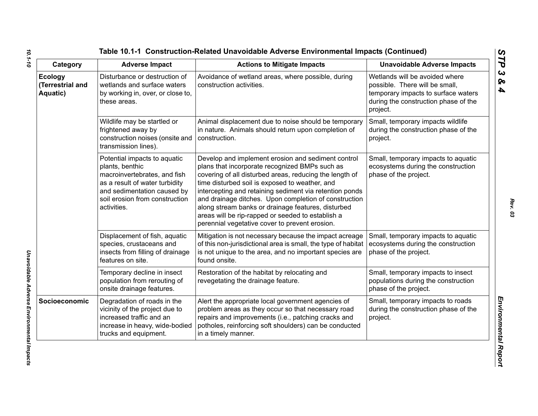| Category                                       | <b>Adverse Impact</b>                                                                                                                                                                             | <b>Actions to Mitigate Impacts</b>                                                                                                                                                                                                                                                                                                                                                                                                                                                                 | <b>Unavoidable Adverse Impacts</b>                                                                                                                          |
|------------------------------------------------|---------------------------------------------------------------------------------------------------------------------------------------------------------------------------------------------------|----------------------------------------------------------------------------------------------------------------------------------------------------------------------------------------------------------------------------------------------------------------------------------------------------------------------------------------------------------------------------------------------------------------------------------------------------------------------------------------------------|-------------------------------------------------------------------------------------------------------------------------------------------------------------|
| <b>Ecology</b><br>(Terrestrial and<br>Aquatic) | Disturbance or destruction of<br>wetlands and surface waters<br>by working in, over, or close to,<br>these areas.                                                                                 | Avoidance of wetland areas, where possible, during<br>construction activities.                                                                                                                                                                                                                                                                                                                                                                                                                     | Wetlands will be avoided where<br>possible. There will be small,<br>temporary impacts to surface waters<br>during the construction phase of the<br>project. |
|                                                | Wildlife may be startled or<br>frightened away by<br>construction noises (onsite and<br>transmission lines).                                                                                      | Animal displacement due to noise should be temporary<br>in nature. Animals should return upon completion of<br>construction.                                                                                                                                                                                                                                                                                                                                                                       | Small, temporary impacts wildlife<br>during the construction phase of the<br>project.                                                                       |
|                                                | Potential impacts to aquatic<br>plants, benthic<br>macroinvertebrates, and fish<br>as a result of water turbidity<br>and sedimentation caused by<br>soil erosion from construction<br>activities. | Develop and implement erosion and sediment control<br>plans that incorporate recognized BMPs such as<br>covering of all disturbed areas, reducing the length of<br>time disturbed soil is exposed to weather, and<br>intercepting and retaining sediment via retention ponds<br>and drainage ditches. Upon completion of construction<br>along stream banks or drainage features, disturbed<br>areas will be rip-rapped or seeded to establish a<br>perennial vegetative cover to prevent erosion. | Small, temporary impacts to aquatic<br>ecosystems during the construction<br>phase of the project.                                                          |
|                                                | Displacement of fish, aquatic<br>species, crustaceans and<br>insects from filling of drainage<br>features on site.                                                                                | Mitigation is not necessary because the impact acreage<br>of this non-jurisdictional area is small, the type of habitat<br>is not unique to the area, and no important species are<br>found onsite.                                                                                                                                                                                                                                                                                                | Small, temporary impacts to aquatic<br>ecosystems during the construction<br>phase of the project.                                                          |
|                                                | Temporary decline in insect<br>population from rerouting of<br>onsite drainage features.                                                                                                          | Restoration of the habitat by relocating and<br>revegetating the drainage feature.                                                                                                                                                                                                                                                                                                                                                                                                                 | Small, temporary impacts to insect<br>populations during the construction<br>phase of the project.                                                          |
| Socioeconomic                                  | Degradation of roads in the<br>vicinity of the project due to<br>increased traffic and an<br>increase in heavy, wide-bodied<br>trucks and equipment.                                              | Alert the appropriate local government agencies of<br>problem areas as they occur so that necessary road<br>repairs and improvements (i.e., patching cracks and<br>potholes, reinforcing soft shoulders) can be conducted<br>in a timely manner.                                                                                                                                                                                                                                                   | Small, temporary impacts to roads<br>during the construction phase of the<br>project.                                                                       |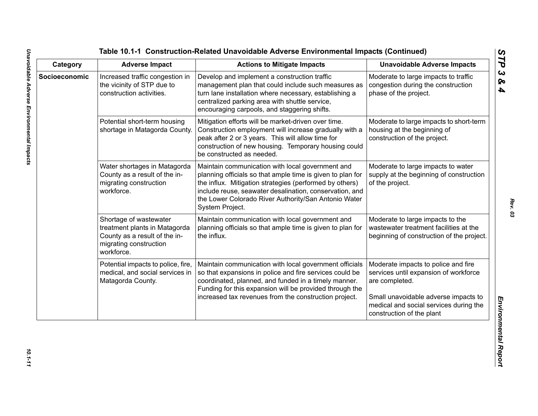| Category      | <b>Adverse Impact</b>                                                                                                            | <b>Actions to Mitigate Impacts</b>                                                                                                                                                                                                                                                                              | <b>Unavoidable Adverse Impacts</b>                                                                                                                                                                            |
|---------------|----------------------------------------------------------------------------------------------------------------------------------|-----------------------------------------------------------------------------------------------------------------------------------------------------------------------------------------------------------------------------------------------------------------------------------------------------------------|---------------------------------------------------------------------------------------------------------------------------------------------------------------------------------------------------------------|
| Socioeconomic | Increased traffic congestion in<br>the vicinity of STP due to<br>construction activities.                                        | Develop and implement a construction traffic<br>management plan that could include such measures as<br>turn lane installation where necessary, establishing a<br>centralized parking area with shuttle service,<br>encouraging carpools, and staggering shifts.                                                 | Moderate to large impacts to traffic<br>congestion during the construction<br>phase of the project.                                                                                                           |
|               | Potential short-term housing<br>shortage in Matagorda County.                                                                    | Mitigation efforts will be market-driven over time.<br>Construction employment will increase gradually with a<br>peak after 2 or 3 years. This will allow time for<br>construction of new housing. Temporary housing could<br>be constructed as needed.                                                         | Moderate to large impacts to short-term<br>housing at the beginning of<br>construction of the project.                                                                                                        |
|               | Water shortages in Matagorda<br>County as a result of the in-<br>migrating construction<br>workforce.                            | Maintain communication with local government and<br>planning officials so that ample time is given to plan for<br>the influx. Mitigation strategies (performed by others)<br>include reuse, seawater desalination, conservation, and<br>the Lower Colorado River Authority/San Antonio Water<br>System Project. | Moderate to large impacts to water<br>supply at the beginning of construction<br>of the project.                                                                                                              |
|               | Shortage of wastewater<br>treatment plants in Matagorda<br>County as a result of the in-<br>migrating construction<br>workforce. | Maintain communication with local government and<br>planning officials so that ample time is given to plan for<br>the influx.                                                                                                                                                                                   | Moderate to large impacts to the<br>wastewater treatment facilities at the<br>beginning of construction of the project.                                                                                       |
|               | Potential impacts to police, fire,<br>medical, and social services in<br>Matagorda County.                                       | Maintain communication with local government officials<br>so that expansions in police and fire services could be<br>coordinated, planned, and funded in a timely manner.<br>Funding for this expansion will be provided through the<br>increased tax revenues from the construction project.                   | Moderate impacts to police and fire<br>services until expansion of workforce<br>are completed.<br>Small unavoidable adverse impacts to<br>medical and social services during the<br>construction of the plant |

*Rev. 03*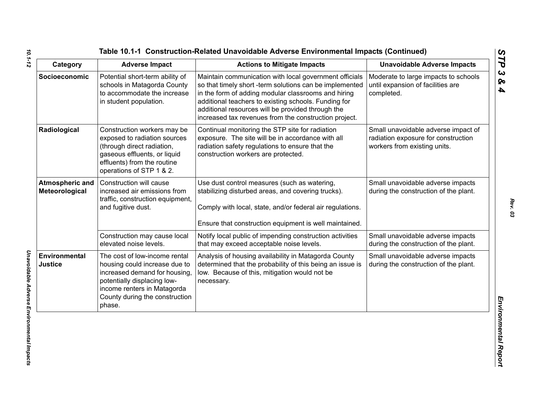| Category                          | <b>Adverse Impact</b>                                                                                                                                                                                    | <b>Actions to Mitigate Impacts</b>                                                                                                                                                                                                                                                                                                             | <b>Unavoidable Adverse Impacts</b>                                                                         |
|-----------------------------------|----------------------------------------------------------------------------------------------------------------------------------------------------------------------------------------------------------|------------------------------------------------------------------------------------------------------------------------------------------------------------------------------------------------------------------------------------------------------------------------------------------------------------------------------------------------|------------------------------------------------------------------------------------------------------------|
| Socioeconomic                     | Potential short-term ability of<br>schools in Matagorda County<br>to accommodate the increase<br>in student population.                                                                                  | Maintain communication with local government officials<br>so that timely short -term solutions can be implemented<br>in the form of adding modular classrooms and hiring<br>additional teachers to existing schools. Funding for<br>additional resources will be provided through the<br>increased tax revenues from the construction project. | Moderate to large impacts to schools<br>until expansion of facilities are<br>completed.                    |
| Radiological                      | Construction workers may be<br>exposed to radiation sources<br>(through direct radiation,<br>gaseous effluents, or liquid<br>effluents) from the routine<br>operations of STP 1 & 2.                     | Continual monitoring the STP site for radiation<br>exposure. The site will be in accordance with all<br>radiation safety regulations to ensure that the<br>construction workers are protected.                                                                                                                                                 | Small unavoidable adverse impact of<br>radiation exposure for construction<br>workers from existing units. |
| Atmospheric and<br>Meteorological | Construction will cause<br>increased air emissions from<br>traffic, construction equipment,<br>and fugitive dust.                                                                                        | Use dust control measures (such as watering,<br>stabilizing disturbed areas, and covering trucks).<br>Comply with local, state, and/or federal air regulations.<br>Ensure that construction equipment is well maintained.                                                                                                                      | Small unavoidable adverse impacts<br>during the construction of the plant.                                 |
|                                   | Construction may cause local<br>elevated noise levels.                                                                                                                                                   | Notify local public of impending construction activities<br>that may exceed acceptable noise levels.                                                                                                                                                                                                                                           | Small unavoidable adverse impacts<br>during the construction of the plant.                                 |
| Environmental<br>Justice          | The cost of low-income rental<br>housing could increase due to<br>increased demand for housing<br>potentially displacing low-<br>income renters in Matagorda<br>County during the construction<br>phase. | Analysis of housing availability in Matagorda County<br>determined that the probability of this being an issue is<br>low. Because of this, mitigation would not be<br>necessary.                                                                                                                                                               | Small unavoidable adverse impacts<br>during the construction of the plant.                                 |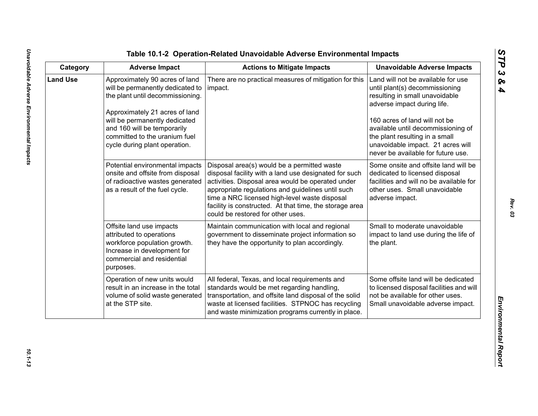| ທ |
|---|
|   |
| C |
| ట |
| ∞ |
| 4 |

| Category        | <b>Adverse Impact</b>                                                                                                                                                                                                                                                      | <b>Actions to Mitigate Impacts</b>                                                                                                                                                                                                                                                                                                                              | <b>Unavoidable Adverse Impacts</b>                                                                                                                                                                                                                                                                                        |
|-----------------|----------------------------------------------------------------------------------------------------------------------------------------------------------------------------------------------------------------------------------------------------------------------------|-----------------------------------------------------------------------------------------------------------------------------------------------------------------------------------------------------------------------------------------------------------------------------------------------------------------------------------------------------------------|---------------------------------------------------------------------------------------------------------------------------------------------------------------------------------------------------------------------------------------------------------------------------------------------------------------------------|
| <b>Land Use</b> | Approximately 90 acres of land<br>will be permanently dedicated to<br>the plant until decommissioning.<br>Approximately 21 acres of land<br>will be permanently dedicated<br>and 160 will be temporarily<br>committed to the uranium fuel<br>cycle during plant operation. | There are no practical measures of mitigation for this<br>impact.                                                                                                                                                                                                                                                                                               | Land will not be available for use<br>until plant(s) decommissioning<br>resulting in small unavoidable<br>adverse impact during life.<br>160 acres of land will not be<br>available until decommissioning of<br>the plant resulting in a small<br>unavoidable impact. 21 acres will<br>never be available for future use. |
|                 | Potential environmental impacts<br>onsite and offsite from disposal<br>of radioactive wastes generated<br>as a result of the fuel cycle.                                                                                                                                   | Disposal area(s) would be a permitted waste<br>disposal facility with a land use designated for such<br>activities. Disposal area would be operated under<br>appropriate regulations and guidelines until such<br>time a NRC licensed high-level waste disposal<br>facility is constructed. At that time, the storage area<br>could be restored for other uses. | Some onsite and offsite land will be<br>dedicated to licensed disposal<br>facilities and will no be available for<br>other uses. Small unavoidable<br>adverse impact.                                                                                                                                                     |
|                 | Offsite land use impacts<br>attributed to operations<br>workforce population growth.<br>Increase in development for<br>commercial and residential<br>purposes.                                                                                                             | Maintain communication with local and regional<br>government to disseminate project information so<br>they have the opportunity to plan accordingly.                                                                                                                                                                                                            | Small to moderate unavoidable<br>impact to land use during the life of<br>the plant.                                                                                                                                                                                                                                      |
|                 | Operation of new units would<br>result in an increase in the total<br>volume of solid waste generated<br>at the STP site.                                                                                                                                                  | All federal, Texas, and local requirements and<br>standards would be met regarding handling,<br>transportation, and offsite land disposal of the solid<br>waste at licensed facilities. STPNOC has recycling<br>and waste minimization programs currently in place.                                                                                             | Some offsite land will be dedicated<br>to licensed disposal facilities and will<br>not be available for other uses.<br>Small unavoidable adverse impact.                                                                                                                                                                  |

10.1-13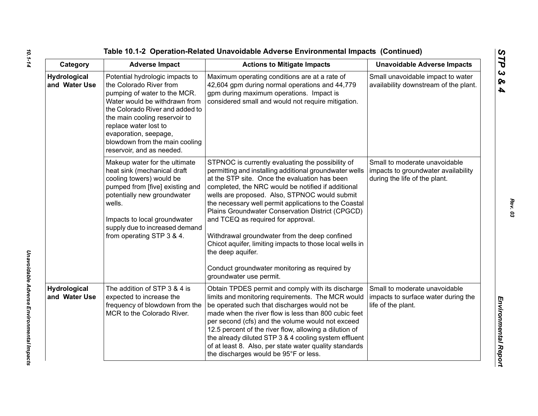| Category                             | <b>Adverse Impact</b>                                                                                                                                                                                                                                                                                            | <b>Actions to Mitigate Impacts</b>                                                                                                                                                                                                                                                                                                                                                                                                                                                                                                                                                                                                   | <b>Unavoidable Adverse Impacts</b>                                                                    |
|--------------------------------------|------------------------------------------------------------------------------------------------------------------------------------------------------------------------------------------------------------------------------------------------------------------------------------------------------------------|--------------------------------------------------------------------------------------------------------------------------------------------------------------------------------------------------------------------------------------------------------------------------------------------------------------------------------------------------------------------------------------------------------------------------------------------------------------------------------------------------------------------------------------------------------------------------------------------------------------------------------------|-------------------------------------------------------------------------------------------------------|
| Hydrological<br>and Water Use        | Potential hydrologic impacts to<br>the Colorado River from<br>pumping of water to the MCR.<br>Water would be withdrawn from<br>the Colorado River and added to<br>the main cooling reservoir to<br>replace water lost to<br>evaporation, seepage,<br>blowdown from the main cooling<br>reservoir, and as needed. | Maximum operating conditions are at a rate of<br>42,604 gpm during normal operations and 44,779<br>gpm during maximum operations. Impact is<br>considered small and would not require mitigation.                                                                                                                                                                                                                                                                                                                                                                                                                                    | Small unavoidable impact to water<br>availability downstream of the plant.                            |
|                                      | Makeup water for the ultimate<br>heat sink (mechanical draft<br>cooling towers) would be<br>pumped from [five] existing and<br>potentially new groundwater<br>wells.<br>Impacts to local groundwater<br>supply due to increased demand<br>from operating STP 3 & 4.                                              | STPNOC is currently evaluating the possibility of<br>permitting and installing additional groundwater wells<br>at the STP site. Once the evaluation has been<br>completed, the NRC would be notified if additional<br>wells are proposed. Also, STPNOC would submit<br>the necessary well permit applications to the Coastal<br>Plains Groundwater Conservation District (CPGCD)<br>and TCEQ as required for approval.<br>Withdrawal groundwater from the deep confined<br>Chicot aquifer, limiting impacts to those local wells in<br>the deep aquifer.<br>Conduct groundwater monitoring as required by<br>groundwater use permit. | Small to moderate unavoidable<br>impacts to groundwater availability<br>during the life of the plant. |
| <b>Hydrological</b><br>and Water Use | The addition of STP 3 & 4 is<br>expected to increase the<br>frequency of blowdown from the<br>MCR to the Colorado River.                                                                                                                                                                                         | Obtain TPDES permit and comply with its discharge<br>limits and monitoring requirements. The MCR would<br>be operated such that discharges would not be<br>made when the river flow is less than 800 cubic feet<br>per second (cfs) and the volume would not exceed<br>12.5 percent of the river flow, allowing a dilution of<br>the already diluted STP 3 & 4 cooling system effluent<br>of at least 8. Also, per state water quality standards<br>the discharges would be 95°F or less.                                                                                                                                            | Small to moderate unavoidable<br>impacts to surface water during the<br>life of the plant.            |

*10.1-14*

*Unavoidable Adverse Environmental Impacts* 

Unavoidable Adverse Environmental Impacts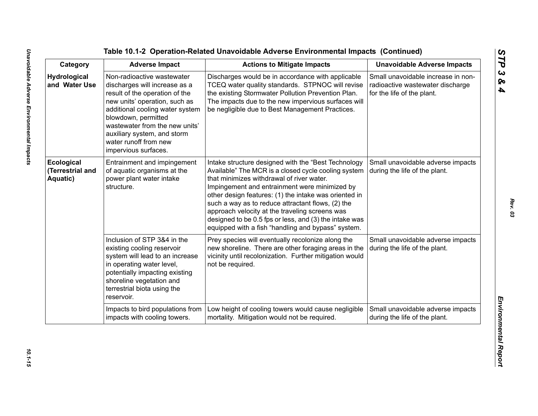The United Of Act Operation-Related Univolvelable Adverse Emplore<br>
Category 6. Adverse Impacts<br>
Vertrodegeta Univolvelable Adverse Impacts<br>
Adverse impacts<br>
Adverse impacts<br>
vertrodegeta Univolvelable Category (CDC) when t

*Rev. 03*